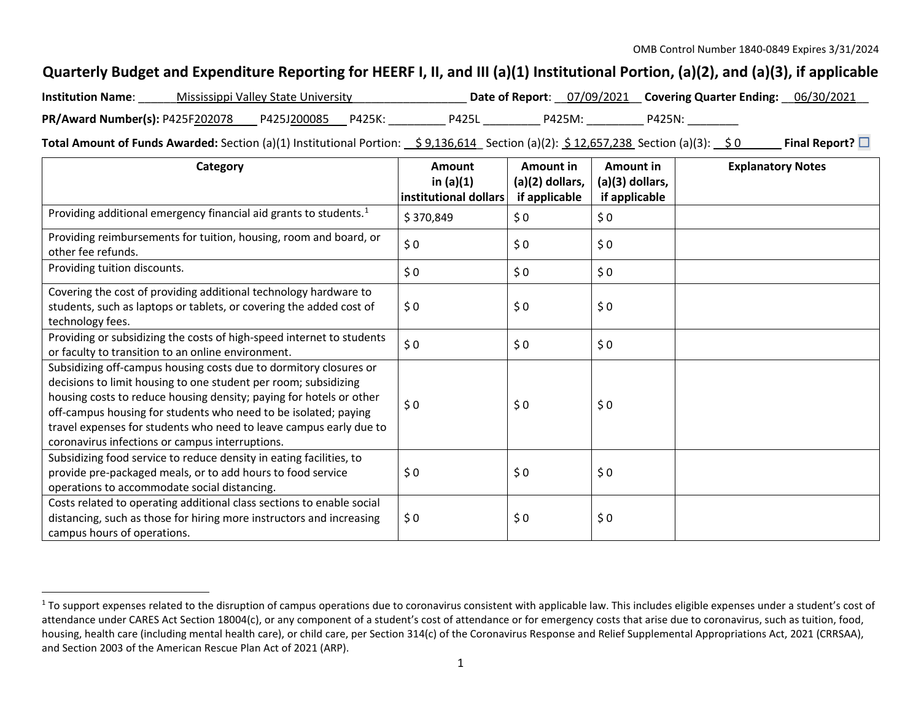## <span id="page-0-0"></span>**Quarterly Budget and Expenditure Reporting for HEERF I, II, and III (a)(1) Institutional Portion, (a)(2), and (a)(3), if applicable**

| <b>Institution Name:</b>               | Mississippi Valley State University |        |              |        | Date of Report: 07/09/2021 Covering Quarter Ending: 06/30/2021 |  |
|----------------------------------------|-------------------------------------|--------|--------------|--------|----------------------------------------------------------------|--|
| <b>PR/Award Number(s): P425F202078</b> | P425J200085                         | P425K: | <b>P425L</b> | P425M: | P425N:                                                         |  |

**Total Amount of Funds Awarded:** Section (a)(1) Institutional Portion: \$ 9,136,614 Section (a)(2): \$ 12,657,238 Section (a)(3): \$ 0 **Final Report?** □

| Category                                                                                | Amount<br>in $(a)(1)$ | Amount in<br>(a)(2) dollars, | Amount in<br>(a)(3) dollars, | <b>Explanatory Notes</b> |
|-----------------------------------------------------------------------------------------|-----------------------|------------------------------|------------------------------|--------------------------|
| Providing additional emergency financial aid grants to students. <sup>1</sup>           | institutional dollars | if applicable                | if applicable                |                          |
|                                                                                         | \$370,849             | \$0                          | \$0                          |                          |
| Providing reimbursements for tuition, housing, room and board, or<br>other fee refunds. | \$0                   | \$0                          | \$0                          |                          |
| Providing tuition discounts.                                                            | \$0                   | \$0                          | \$0                          |                          |
| Covering the cost of providing additional technology hardware to                        |                       |                              |                              |                          |
| students, such as laptops or tablets, or covering the added cost of                     | \$0                   | \$0                          | \$0                          |                          |
| technology fees.                                                                        |                       |                              |                              |                          |
| Providing or subsidizing the costs of high-speed internet to students                   | \$0                   | \$0                          | \$0                          |                          |
| or faculty to transition to an online environment.                                      |                       |                              |                              |                          |
| Subsidizing off-campus housing costs due to dormitory closures or                       |                       |                              |                              |                          |
| decisions to limit housing to one student per room; subsidizing                         |                       |                              |                              |                          |
| housing costs to reduce housing density; paying for hotels or other                     | \$0                   | \$0                          | \$0                          |                          |
| off-campus housing for students who need to be isolated; paying                         |                       |                              |                              |                          |
| travel expenses for students who need to leave campus early due to                      |                       |                              |                              |                          |
| coronavirus infections or campus interruptions.                                         |                       |                              |                              |                          |
| Subsidizing food service to reduce density in eating facilities, to                     |                       |                              |                              |                          |
| provide pre-packaged meals, or to add hours to food service                             | \$0                   | \$0                          | \$0                          |                          |
| operations to accommodate social distancing.                                            |                       |                              |                              |                          |
| Costs related to operating additional class sections to enable social                   |                       |                              |                              |                          |
| distancing, such as those for hiring more instructors and increasing                    | \$0                   | \$0                          | \$0                          |                          |
| campus hours of operations.                                                             |                       |                              |                              |                          |

 $1$  To support expenses related to the disruption of campus operations due to coronavirus consistent with applicable law. This includes eligible expenses under a student's cost of attendance under CARES Act Section 18004(c), or any component of a student's cost of attendance or for emergency costs that arise due to coronavirus, such as tuition, food, housing, health care (including mental health care), or child care, per Section 314(c) of the Coronavirus Response and Relief Supplemental Appropriations Act, 2021 (CRRSAA), and Section 2003 of the American Rescue Plan Act of 2021 (ARP).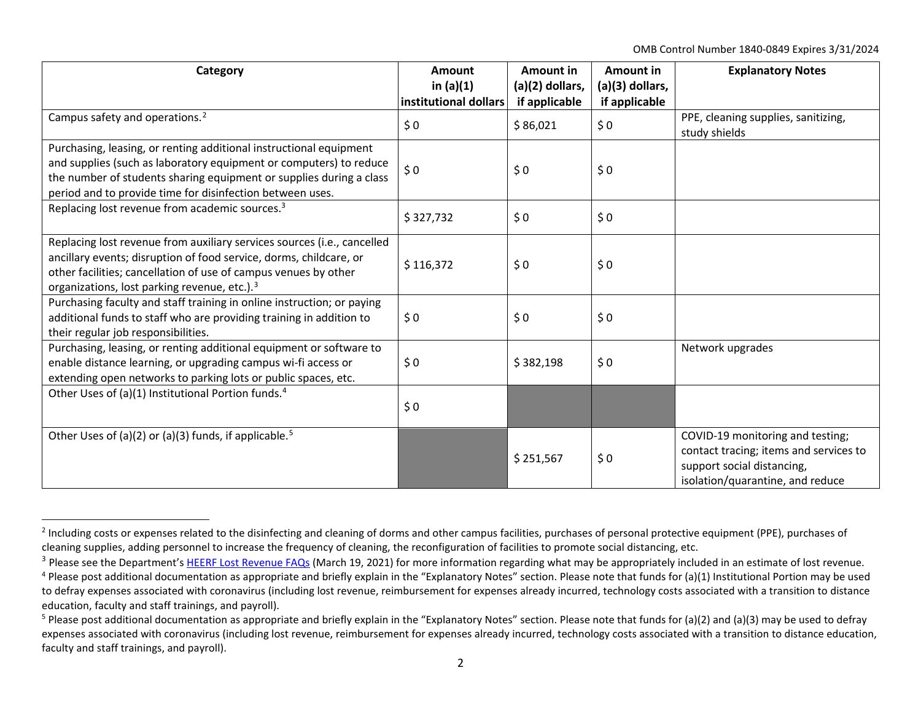<span id="page-1-3"></span><span id="page-1-2"></span><span id="page-1-1"></span><span id="page-1-0"></span>OMB Control Number 1840-0849 Expires 3/31/2024

| Category                                                                                                                                                                                                                                                                     | <b>Amount</b><br>in $(a)(1)$<br>institutional dollars | Amount in<br>(a)(2) dollars,<br>if applicable | Amount in<br>(a)(3) dollars,<br>if applicable | <b>Explanatory Notes</b>                                                                                                                     |
|------------------------------------------------------------------------------------------------------------------------------------------------------------------------------------------------------------------------------------------------------------------------------|-------------------------------------------------------|-----------------------------------------------|-----------------------------------------------|----------------------------------------------------------------------------------------------------------------------------------------------|
| Campus safety and operations. <sup>2</sup>                                                                                                                                                                                                                                   | \$0                                                   | \$86,021                                      | \$0                                           | PPE, cleaning supplies, sanitizing,<br>study shields                                                                                         |
| Purchasing, leasing, or renting additional instructional equipment<br>and supplies (such as laboratory equipment or computers) to reduce<br>the number of students sharing equipment or supplies during a class<br>period and to provide time for disinfection between uses. | \$0                                                   | \$0                                           | \$0                                           |                                                                                                                                              |
| Replacing lost revenue from academic sources. <sup>3</sup>                                                                                                                                                                                                                   | \$327,732                                             | \$0                                           | \$0                                           |                                                                                                                                              |
| Replacing lost revenue from auxiliary services sources (i.e., cancelled<br>ancillary events; disruption of food service, dorms, childcare, or<br>other facilities; cancellation of use of campus venues by other<br>organizations, lost parking revenue, etc.). <sup>3</sup> | \$116,372                                             | \$0                                           | \$0                                           |                                                                                                                                              |
| Purchasing faculty and staff training in online instruction; or paying<br>additional funds to staff who are providing training in addition to<br>their regular job responsibilities.                                                                                         | \$0                                                   | \$0                                           | \$0                                           |                                                                                                                                              |
| Purchasing, leasing, or renting additional equipment or software to<br>enable distance learning, or upgrading campus wi-fi access or<br>extending open networks to parking lots or public spaces, etc.                                                                       | \$0                                                   | \$382,198                                     | \$0                                           | Network upgrades                                                                                                                             |
| Other Uses of (a)(1) Institutional Portion funds. <sup>4</sup>                                                                                                                                                                                                               | \$0                                                   |                                               |                                               |                                                                                                                                              |
| Other Uses of (a)(2) or (a)(3) funds, if applicable. <sup>5</sup>                                                                                                                                                                                                            |                                                       | \$251,567                                     | \$0                                           | COVID-19 monitoring and testing;<br>contact tracing; items and services to<br>support social distancing,<br>isolation/quarantine, and reduce |

<sup>&</sup>lt;sup>2</sup> Including costs or expenses related to the disinfecting and cleaning of dorms and other campus facilities, purchases of personal protective equipment (PPE), purchases of cleaning supplies, adding personnel to increase the frequency of cleaning, the reconfiguration of facilities to promote social distancing, etc.

<sup>&</sup>lt;sup>3</sup> Please see the Department'[s HEERF Lost Revenue FAQs](https://www2.ed.gov/about/offices/list/ope/heerflostrevenuefaqs.pdf) (March 19, 2021) for more information regarding what may be appropriately included in an estimate of lost revenue.

 $4$  Please post additional documentation as appropriate and briefly explain in the "Explanatory Notes" section. Please note that funds for (a)(1) Institutional Portion may be used to defray expenses associated with coronavirus (including lost revenue, reimbursement for expenses already incurred, technology costs associated with a transition to distance education, faculty and staff trainings, and payroll).

<sup>&</sup>lt;sup>5</sup> Please post additional documentation as appropriate and briefly explain in the "Explanatory Notes" section. Please note that funds for (a)(2) and (a)(3) may be used to defray expenses associated with coronavirus (including lost revenue, reimbursement for expenses already incurred, technology costs associated with a transition to distance education, faculty and staff trainings, and payroll).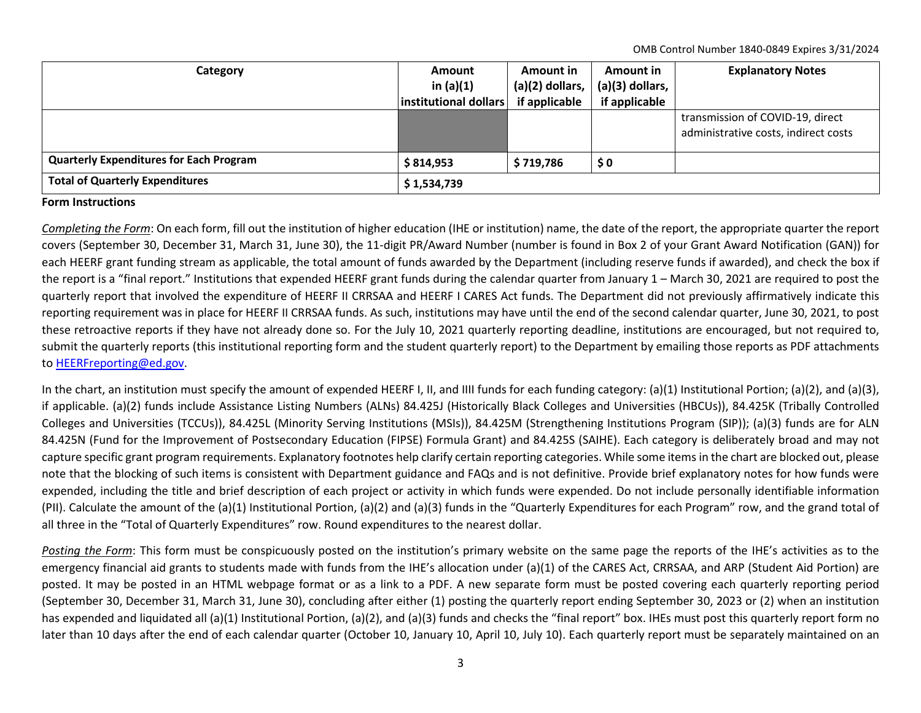OMB Control Number 1840-0849 Expires 3/31/2024

| Category                                       | <b>Amount</b><br>in $(a)(1)$<br>institutional dollars | Amount in<br>$(a)(2)$ dollars,<br>if applicable | Amount in<br>(a)(3) dollars,<br>if applicable | <b>Explanatory Notes</b>                                                 |
|------------------------------------------------|-------------------------------------------------------|-------------------------------------------------|-----------------------------------------------|--------------------------------------------------------------------------|
|                                                |                                                       |                                                 |                                               | transmission of COVID-19, direct<br>administrative costs, indirect costs |
| <b>Quarterly Expenditures for Each Program</b> | \$814,953                                             | \$719,786                                       | $\boldsymbol{\mathsf{S}}\,\boldsymbol{0}$     |                                                                          |
| <b>Total of Quarterly Expenditures</b>         | \$1,534,739                                           |                                                 |                                               |                                                                          |

## **Form Instructions**

*Completing the Form*: On each form, fill out the institution of higher education (IHE or institution) name, the date of the report, the appropriate quarter the report covers (September 30, December 31, March 31, June 30), the 11-digit PR/Award Number (number is found in Box 2 of your Grant Award Notification (GAN)) for each HEERF grant funding stream as applicable, the total amount of funds awarded by the Department (including reserve funds if awarded), and check the box if the report is a "final report." Institutions that expended HEERF grant funds during the calendar quarter from January 1 – March 30, 2021 are required to post the quarterly report that involved the expenditure of HEERF II CRRSAA and HEERF I CARES Act funds. The Department did not previously affirmatively indicate this reporting requirement was in place for HEERF II CRRSAA funds. As such, institutions may have until the end of the second calendar quarter, June 30, 2021, to post these retroactive reports if they have not already done so. For the July 10, 2021 quarterly reporting deadline, institutions are encouraged, but not required to, submit the quarterly reports (this institutional reporting form and the student quarterly report) to the Department by emailing those reports as PDF attachments to [HEERFreporting@ed.gov.](mailto:HEERFreporting@ed.gov)

In the chart, an institution must specify the amount of expended HEERF I, II, and IIII funds for each funding category: (a)(1) Institutional Portion; (a)(2), and (a)(3), if applicable. (a)(2) funds include Assistance Listing Numbers (ALNs) 84.425J (Historically Black Colleges and Universities (HBCUs)), 84.425K (Tribally Controlled Colleges and Universities (TCCUs)), 84.425L (Minority Serving Institutions (MSIs)), 84.425M (Strengthening Institutions Program (SIP)); (a)(3) funds are for ALN 84.425N (Fund for the Improvement of Postsecondary Education (FIPSE) Formula Grant) and 84.425S (SAIHE). Each category is deliberately broad and may not capture specific grant program requirements. Explanatory footnotes help clarify certain reporting categories. While some items in the chart are blocked out, please note that the blocking of such items is consistent with Department guidance and FAQs and is not definitive. Provide brief explanatory notes for how funds were expended, including the title and brief description of each project or activity in which funds were expended. Do not include personally identifiable information (PII). Calculate the amount of the (a)(1) Institutional Portion, (a)(2) and (a)(3) funds in the "Quarterly Expenditures for each Program" row, and the grand total of all three in the "Total of Quarterly Expenditures" row. Round expenditures to the nearest dollar.

*Posting the Form*: This form must be conspicuously posted on the institution's primary website on the same page the reports of the IHE's activities as to the emergency financial aid grants to students made with funds from the IHE's allocation under (a)(1) of the CARES Act, CRRSAA, and ARP (Student Aid Portion) are posted. It may be posted in an HTML webpage format or as a link to a PDF. A new separate form must be posted covering each quarterly reporting period (September 30, December 31, March 31, June 30), concluding after either (1) posting the quarterly report ending September 30, 2023 or (2) when an institution has expended and liquidated all (a)(1) Institutional Portion, (a)(2), and (a)(3) funds and checks the "final report" box. IHEs must post this quarterly report form no later than 10 days after the end of each calendar quarter (October 10, January 10, April 10, July 10). Each quarterly report must be separately maintained on an